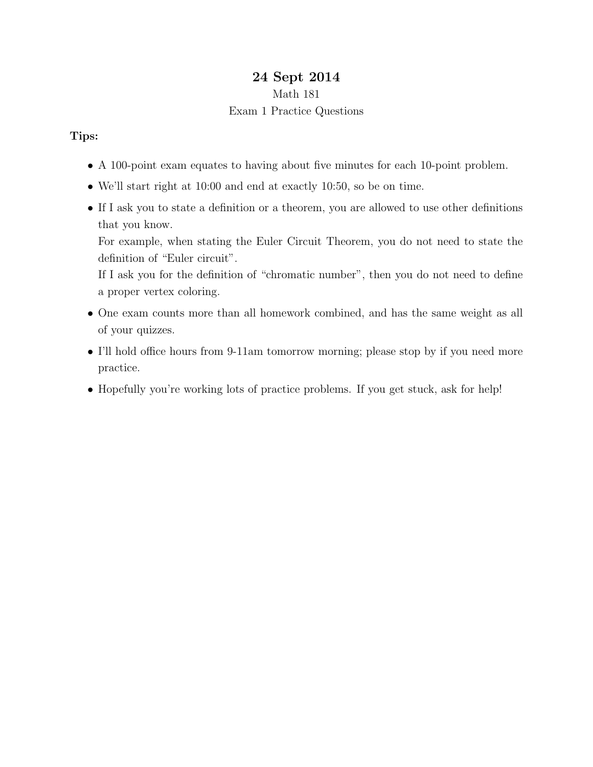# 24 Sept 2014

### Math 181

## Exam 1 Practice Questions

## Tips:

- A 100-point exam equates to having about five minutes for each 10-point problem.
- We'll start right at 10:00 and end at exactly 10:50, so be on time.
- If I ask you to state a definition or a theorem, you are allowed to use other definitions that you know.

For example, when stating the Euler Circuit Theorem, you do not need to state the definition of "Euler circuit".

If I ask you for the definition of "chromatic number", then you do not need to define a proper vertex coloring.

- One exam counts more than all homework combined, and has the same weight as all of your quizzes.
- I'll hold office hours from 9-11am tomorrow morning; please stop by if you need more practice.
- Hopefully you're working lots of practice problems. If you get stuck, ask for help!